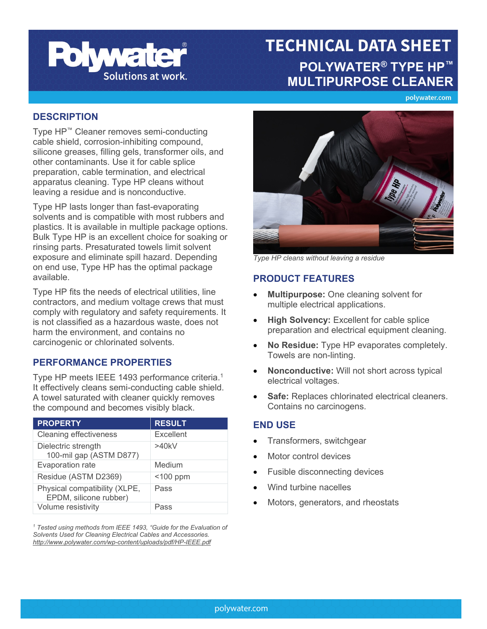

# **TECHNICAL DATA SHEET POLYWATER® TYPE HP™ MULTIPURPOSE CLEANER**

polywater.com

### **DESCRIPTION**

Type HP™ Cleaner removes semi-conducting cable shield, corrosion-inhibiting compound, silicone greases, filling gels, transformer oils, and other contaminants. Use it for cable splice preparation, cable termination, and electrical apparatus cleaning. Type HP cleans without leaving a residue and is nonconductive.

Type HP lasts longer than fast-evaporating solvents and is compatible with most rubbers and plastics. It is available in multiple package options. Bulk Type HP is an excellent choice for soaking or rinsing parts. Presaturated towels limit solvent exposure and eliminate spill hazard. Depending on end use, Type HP has the optimal package available.

Type HP fits the needs of electrical utilities, line contractors, and medium voltage crews that must comply with regulatory and safety requirements. It is not classified as a hazardous waste, does not harm the environment, and contains no carcinogenic or chlorinated solvents.

### **PERFORMANCE PROPERTIES**

Type HP meets IEEE 1493 performance criteria. 1 It effectively cleans semi-conducting cable shield. A towel saturated with cleaner quickly removes the compound and becomes visibly black.

| <b>PROPERTY</b>                                         | <b>RESULT</b> |
|---------------------------------------------------------|---------------|
| <b>Cleaning effectiveness</b>                           | Excellent     |
| Dielectric strength<br>100-mil gap (ASTM D877)          | >40kV         |
| Evaporation rate                                        | Medium        |
| Residue (ASTM D2369)                                    | $<$ 100 ppm   |
| Physical compatibility (XLPE,<br>EPDM, silicone rubber) | Pass          |
| Volume resistivity                                      | Pass          |

*<sup>1</sup> Tested using methods from IEEE 1493, "Guide for the Evaluation of Solvents Used for Cleaning Electrical Cables and Accessories. <http://www.polywater.com/wp-content/uploads/pdf/HP-IEEE.pdf>*



*Type HP cleans without leaving a residue*

### **PRODUCT FEATURES**

- **Multipurpose:** One cleaning solvent for multiple electrical applications.
- **High Solvency:** Excellent for cable splice preparation and electrical equipment cleaning.
- **No Residue:** Type HP evaporates completely. Towels are non-linting.
- **Nonconductive:** Will not short across typical electrical voltages.
- **Safe:** Replaces chlorinated electrical cleaners. Contains no carcinogens.

### **END USE**

- Transformers, switchgear
- Motor control devices
- Fusible disconnecting devices
- Wind turbine nacelles
- Motors, generators, and rheostats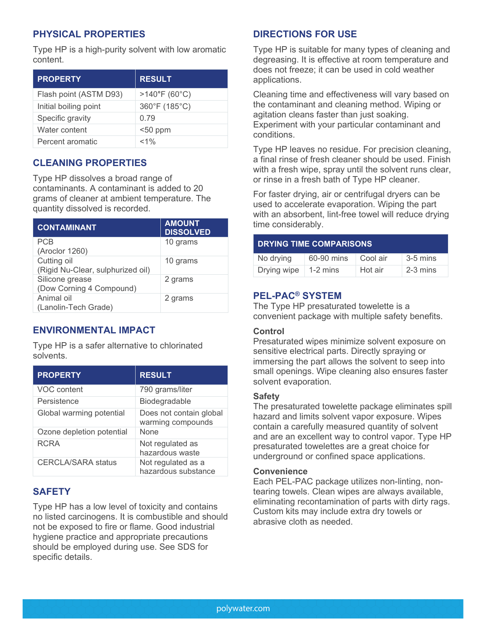# **PHYSICAL PROPERTIES**

Type HP is a high-purity solvent with low aromatic content.

| <b>PROPERTY</b>        | <b>RESULT</b>           |
|------------------------|-------------------------|
| Flash point (ASTM D93) | $>140^{\circ}$ F (60°C) |
| Initial boiling point  | 360°F (185°C)           |
| Specific gravity       | 0.79                    |
| Water content          | $50$ ppm                |
| Percent aromatic       | $< 1\%$                 |

## **CLEANING PROPERTIES**

Type HP dissolves a broad range of contaminants. A contaminant is added to 20 grams of cleaner at ambient temperature. The quantity dissolved is recorded.

| <b>CONTAMINANT</b>                | <b>AMOUNT</b><br><b>DISSOLVED</b> |
|-----------------------------------|-----------------------------------|
| PCB                               | 10 grams                          |
| (Aroclor 1260)                    |                                   |
| Cutting oil                       | 10 grams                          |
| (Rigid Nu-Clear, sulphurized oil) |                                   |
| Silicone grease                   | 2 grams                           |
| (Dow Corning 4 Compound)          |                                   |
| Animal oil                        | 2 grams                           |
| (Lanolin-Tech Grade)              |                                   |

## **ENVIRONMENTAL IMPACT**

Type HP is a safer alternative to chlorinated solvents.

| <b>PROPERTY</b>           | <b>RESULT</b>                                |
|---------------------------|----------------------------------------------|
| <b>VOC</b> content        | 790 grams/liter                              |
| Persistence               | Biodegradable                                |
| Global warming potential  | Does not contain global<br>warming compounds |
| Ozone depletion potential | None                                         |
| <b>RCRA</b>               | Not regulated as<br>hazardous waste          |
| <b>CERCLA/SARA status</b> | Not regulated as a<br>hazardous substance    |

### **SAFETY**

Type HP has a low level of toxicity and contains no listed carcinogens. It is combustible and should not be exposed to fire or flame. Good industrial hygiene practice and appropriate precautions should be employed during use. See SDS for specific details.

### **DIRECTIONS FOR USE**

Type HP is suitable for many types of cleaning and degreasing. It is effective at room temperature and does not freeze; it can be used in cold weather applications.

Cleaning time and effectiveness will vary based on the contaminant and cleaning method. Wiping or agitation cleans faster than just soaking. Experiment with your particular contaminant and conditions.

Type HP leaves no residue. For precision cleaning, a final rinse of fresh cleaner should be used. Finish with a fresh wipe, spray until the solvent runs clear, or rinse in a fresh bath of Type HP cleaner.

For faster drying, air or centrifugal dryers can be used to accelerate evaporation. Wiping the part with an absorbent, lint-free towel will reduce drying time considerably.

| <b>DRYING TIME COMPARISONS</b> |            |            |            |
|--------------------------------|------------|------------|------------|
| No drying                      | 60-90 mins | ∣ Cool air | $3-5$ mins |
| Drying wipe                    | $1-2$ mins | Hot air    | $2-3$ mins |

### **PEL-PAC® SYSTEM**

The Type HP presaturated towelette is a convenient package with multiple safety benefits.

#### **Control**

Presaturated wipes minimize solvent exposure on sensitive electrical parts. Directly spraying or immersing the part allows the solvent to seep into small openings. Wipe cleaning also ensures faster solvent evaporation.

#### **Safety**

The presaturated towelette package eliminates spill hazard and limits solvent vapor exposure. Wipes contain a carefully measured quantity of solvent and are an excellent way to control vapor. Type HP presaturated towelettes are a great choice for underground or confined space applications.

#### **Convenience**

Each PEL-PAC package utilizes non-linting, nontearing towels. Clean wipes are always available, eliminating recontamination of parts with dirty rags. Custom kits may include extra dry towels or abrasive cloth as needed.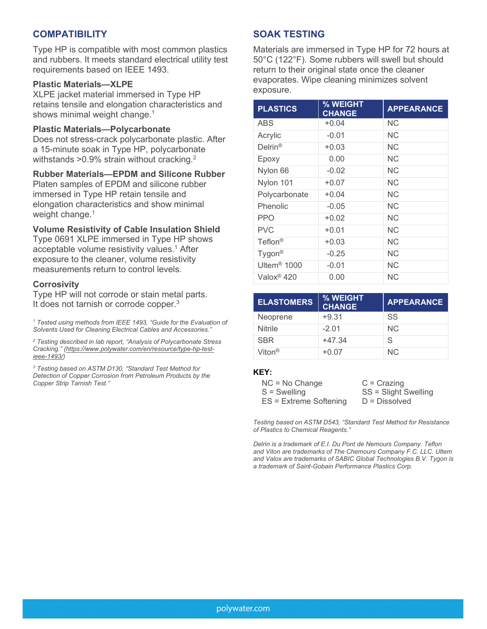### **COMPATIBILITY**

Type HP is compatible with most common plastics and rubbers. It meets standard electrical utility test requirements based on IEEE 1493.

#### **Plastic Materials—XLPE**

XLPE jacket material immersed in Type HP retains tensile and elongation characteristics and shows minimal weight change. 1

#### **Plastic Materials—Polycarbonate**

Does not stress-crack polycarbonate plastic. After a 15-minute soak in Type HP, polycarbonate withstands >0.9% strain without cracking. $^{2}$ 

#### **Rubber Materials—EPDM and Silicone Rubber**

Platen samples of EPDM and silicone rubber immersed in Type HP retain tensile and elongation characteristics and show minimal weight change. 1

#### **Volume Resistivity of Cable Insulation Shield**

Type 0691 XLPE immersed in Type HP shows acceptable volume resistivity values. <sup>1</sup> After exposure to the cleaner, volume resistivity measurements return to control levels.

#### **Corrosivity**

Type HP will not corrode or stain metal parts. It does not tarnish or corrode copper.<sup>3</sup>

*<sup>1</sup> Tested using methods from IEEE 1493, "Guide for the Evaluation of Solvents Used for Cleaning Electrical Cables and Accessories."*

*<sup>2</sup> Testing described in lab report, "Analysis of Polycarbonate Stress Cracking." [\(https://www.polywater.com/en/resource/type-hp-test](https://www.polywater.com/en/resource/type-hp-test-ieee-1493/)[ieee-1493/\)](https://www.polywater.com/en/resource/type-hp-test-ieee-1493/)*

*<sup>3</sup> Testing based on ASTM D130, "Standard Test Method for Detection of Copper Corrosion from Petroleum Products by the Copper Strip Tarnish Test."*

### **SOAK TESTING**

Materials are immersed in Type HP for 72 hours at 50°C (122°F). Some rubbers will swell but should return to their original state once the cleaner evaporates. Wipe cleaning minimizes solvent exposure.

| <b>PLASTICS</b>         | % WEIGHT<br><b>CHANGE</b> | <b>APPEARANCE</b> |
|-------------------------|---------------------------|-------------------|
| ABS                     | $+0.04$                   | <b>NC</b>         |
| Acrylic                 | $-0.01$                   | ΝC                |
| $Delrin^{\circledR}$    | $+0.03$                   | <b>NC</b>         |
| Epoxy                   | 0.00                      | <b>NC</b>         |
| Nylon 66                | $-0.02$                   | <b>NC</b>         |
| Nylon 101               | $+0.07$                   | ΝC                |
| Polycarbonate           | $+0.04$                   | <b>NC</b>         |
| Phenolic                | $-0.05$                   | <b>NC</b>         |
| <b>PPO</b>              | $+0.02$                   | <b>NC</b>         |
| <b>PVC</b>              | $+0.01$                   | <b>NC</b>         |
| $Teflon^{\circledR}$    | $+0.03$                   | <b>NC</b>         |
| Tygon <sup>®</sup>      | $-0.25$                   | <b>NC</b>         |
| Ultem <sup>®</sup> 1000 | $-0.01$                   | <b>NC</b>         |
| Valox <sup>®</sup> 420  | 0.00                      | <b>NC</b>         |

| <b>ELASTOMERS</b>  | % WEIGHT<br><b>CHANGE</b> | <b>APPEARANCE</b> |
|--------------------|---------------------------|-------------------|
| Neoprene           | $+9.31$                   | SS                |
| <b>Nitrile</b>     | $-2.01$                   | NC.               |
| <b>SBR</b>         | $+47.34$                  | S                 |
| Viton <sup>®</sup> | $+0.07$                   | NC.               |

#### **KEY:**

| $NC = No Change$         | $C = Crazinq$        |
|--------------------------|----------------------|
| $S =$ Swelling           | SS = Slight Swelling |
| $ES =$ Extreme Softening | $D = Dissolved$      |

*Testing based on ASTM D543, "Standard Test Method for Resistance of Plastics to Chemical Reagents."*

*Delrin is a trademark of E.I. Du Pont de Nemours Company. Teflon and Viton are trademarks of The Chemours Company F.C. LLC. Ultem and Valox are trademarks of SABIC Global Technologies B.V. Tygon is a trademark of Saint-Gobain Performance Plastics Corp.*